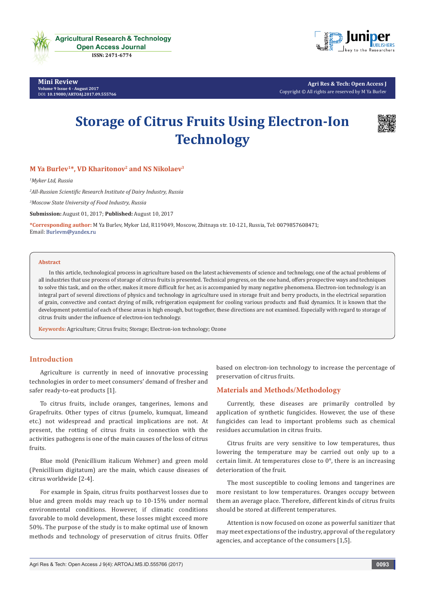

**Mini Review Volume 9 Issue 4 - August 2017** [DOI:](http://dx.doi.org/10.19080/artoaj.2016.02.555590
) **[10.19080/ARTOAJ.2017.09.555766](http://dx.doi.org/10.19080/artoaj.2017.09.555766)**



**Agri Res & Tech: Open Access J** Copyright © All rights are reserved by M Ya Burlev

# **Storage of Citrus Fruits Using Electron-Ion Technology**



# **M Ya Burlev1\*, VD Kharitonov2 and NS Nikolaev3**

*1 Myker Ltd, Russia*

*2 All-Russian Scientific Research Institute of Dairy Industry, Russia*

*3 Moscow State University of Food Industry, Russia*

**Submission:** August 01, 2017; **Published:** August 10, 2017

**\*Corresponding author:** M Ya Burlev, Myker Ltd, R119049, Moscow, Zhitnaya str. 10-121, Russia, Tel: ; Email: Burlevm@yandex.ru

#### **Abstract**

In this article, technological process in agriculture based on the latest achievements of science and technology, one of the actual problems of all industries that use process of storage of citrus fruits is presented. Technical progress, on the one hand, offers prospective ways and techniques to solve this task, and on the other, makes it more difficult for her, as is accompanied by many negative phenomena. Electron-ion technology is an integral part of several directions of physics and technology in agriculture used in storage fruit and berry products, in the electrical separation of grain, convective and contact drying of milk, refrigeration equipment for cooling various products and fluid dynamics. It is known that the development potential of each of these areas is high enough, but together, these directions are not examined. Especially with regard to storage of citrus fruits under the influence of electron-ion technology.

**Keywords:** Agriculture; Citrus fruits; Storage; Electron-ion technology; Ozone

## **Introduction**

Agriculture is currently in need of innovative processing technologies in order to meet consumers' demand of fresher and safer ready-to-eat products [1].

To citrus fruits, include oranges, tangerines, lemons and Grapefruits. Other types of citrus (pumelo, kumquat, limeand etc.) not widespread and practical implications are not. At present, the rotting of citrus fruits in connection with the activities pathogens is one of the main causes of the loss of citrus fruits.

Blue mold (Penicillium italicum Wehmer) and green mold (Penicillium digitatum) are the main, which cause diseases of citrus worldwide [2-4].

For example in Spain, citrus fruits postharvest losses due to blue and green molds may reach up to 10-15% under normal environmental conditions. However, if climatic conditions favorable to mold development, these losses might exceed more 50%. The purpose of the study is to make optimal use of known methods and technology of preservation of citrus fruits. Offer based on electron-ion technology to increase the percentage of preservation of citrus fruits.

## **Materials and Methods/Methodology**

Currently, these diseases are primarily controlled by application of synthetic fungicides. However, the use of these fungicides can lead to important problems such as chemical residues accumulation in citrus fruits.

Citrus fruits are very sensitive to low temperatures, thus lowering the temperature may be carried out only up to a certain limit. At temperatures close to 0°, there is an increasing deterioration of the fruit.

The most susceptible to cooling lemons and tangerines are more resistant to low temperatures. Oranges occupy between them an average place. Therefore, different kinds of citrus fruits should be stored at different temperatures.

Attention is now focused on ozone as powerful sanitizer that may meet expectations of the industry, approval of the regulatory agencies, and acceptance of the consumers [1,5].